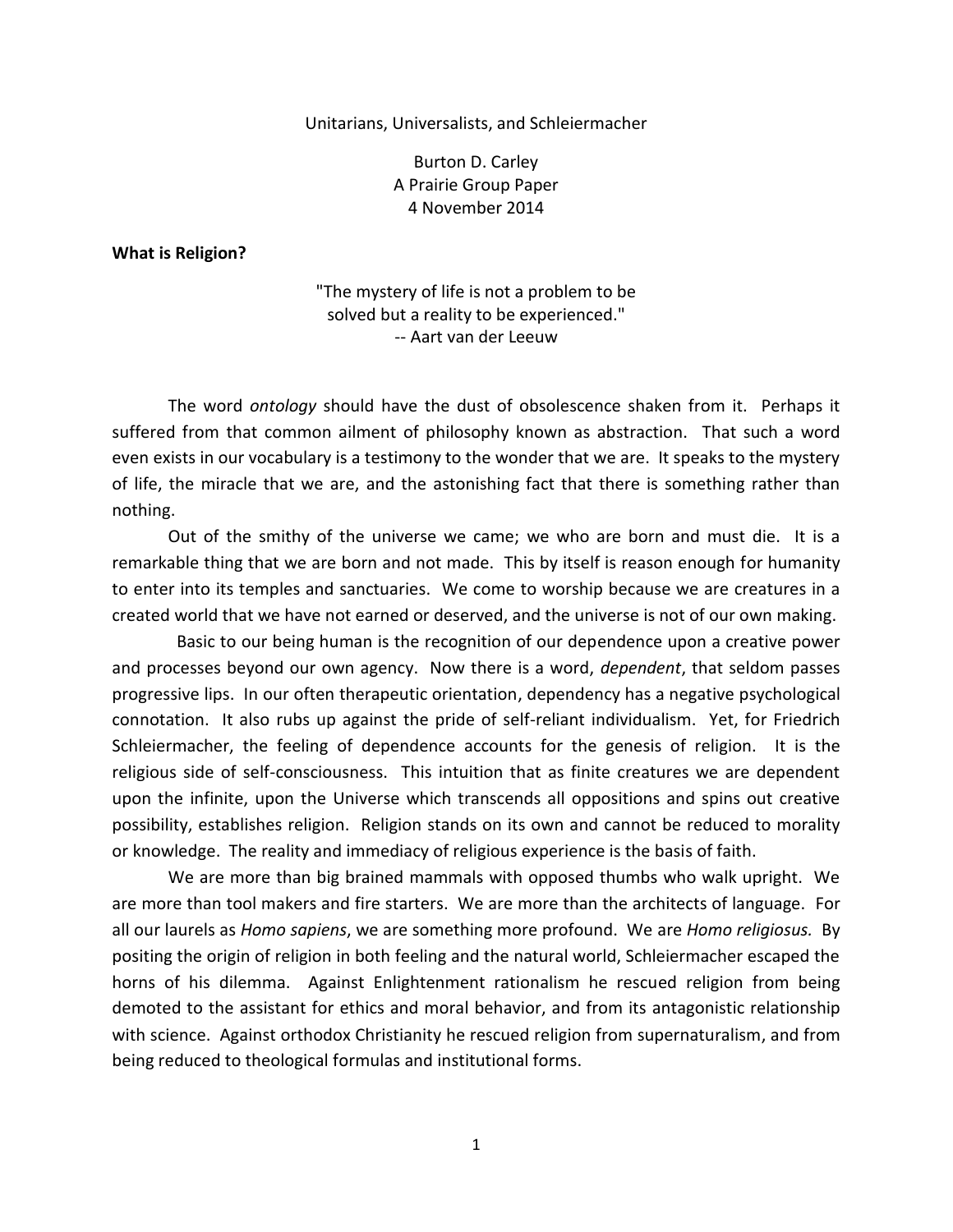Unitarians, Universalists, and Schleiermacher

Burton D. Carley A Prairie Group Paper 4 November 2014

**What is Religion?**

"The mystery of life is not a problem to be solved but a reality to be experienced." -- Aart van der Leeuw

The word *ontology* should have the dust of obsolescence shaken from it. Perhaps it suffered from that common ailment of philosophy known as abstraction. That such a word even exists in our vocabulary is a testimony to the wonder that we are. It speaks to the mystery of life, the miracle that we are, and the astonishing fact that there is something rather than nothing.

Out of the smithy of the universe we came; we who are born and must die. It is a remarkable thing that we are born and not made. This by itself is reason enough for humanity to enter into its temples and sanctuaries. We come to worship because we are creatures in a created world that we have not earned or deserved, and the universe is not of our own making.

 Basic to our being human is the recognition of our dependence upon a creative power and processes beyond our own agency. Now there is a word, *dependent*, that seldom passes progressive lips. In our often therapeutic orientation, dependency has a negative psychological connotation. It also rubs up against the pride of self-reliant individualism. Yet, for Friedrich Schleiermacher, the feeling of dependence accounts for the genesis of religion. It is the religious side of self-consciousness. This intuition that as finite creatures we are dependent upon the infinite, upon the Universe which transcends all oppositions and spins out creative possibility, establishes religion. Religion stands on its own and cannot be reduced to morality or knowledge. The reality and immediacy of religious experience is the basis of faith.

We are more than big brained mammals with opposed thumbs who walk upright. We are more than tool makers and fire starters. We are more than the architects of language. For all our laurels as *Homo sapiens*, we are something more profound. We are *Homo religiosus.* By positing the origin of religion in both feeling and the natural world, Schleiermacher escaped the horns of his dilemma. Against Enlightenment rationalism he rescued religion from being demoted to the assistant for ethics and moral behavior, and from its antagonistic relationship with science. Against orthodox Christianity he rescued religion from supernaturalism, and from being reduced to theological formulas and institutional forms.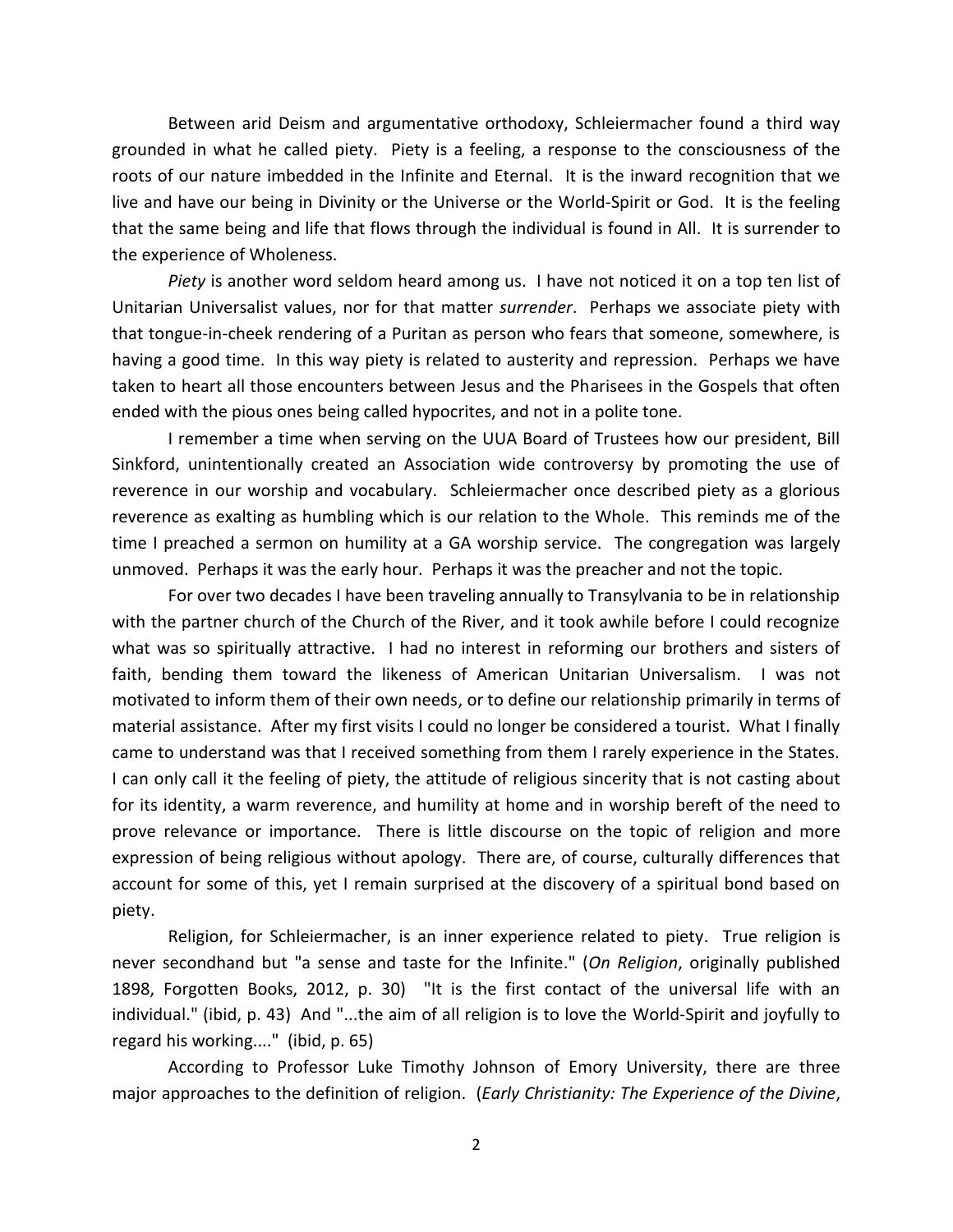Between arid Deism and argumentative orthodoxy, Schleiermacher found a third way grounded in what he called piety. Piety is a feeling, a response to the consciousness of the roots of our nature imbedded in the Infinite and Eternal. It is the inward recognition that we live and have our being in Divinity or the Universe or the World-Spirit or God. It is the feeling that the same being and life that flows through the individual is found in All. It is surrender to the experience of Wholeness.

*Piety* is another word seldom heard among us. I have not noticed it on a top ten list of Unitarian Universalist values, nor for that matter *surrender*. Perhaps we associate piety with that tongue-in-cheek rendering of a Puritan as person who fears that someone, somewhere, is having a good time. In this way piety is related to austerity and repression. Perhaps we have taken to heart all those encounters between Jesus and the Pharisees in the Gospels that often ended with the pious ones being called hypocrites, and not in a polite tone.

I remember a time when serving on the UUA Board of Trustees how our president, Bill Sinkford, unintentionally created an Association wide controversy by promoting the use of reverence in our worship and vocabulary. Schleiermacher once described piety as a glorious reverence as exalting as humbling which is our relation to the Whole. This reminds me of the time I preached a sermon on humility at a GA worship service. The congregation was largely unmoved. Perhaps it was the early hour. Perhaps it was the preacher and not the topic.

For over two decades I have been traveling annually to Transylvania to be in relationship with the partner church of the Church of the River, and it took awhile before I could recognize what was so spiritually attractive. I had no interest in reforming our brothers and sisters of faith, bending them toward the likeness of American Unitarian Universalism. I was not motivated to inform them of their own needs, or to define our relationship primarily in terms of material assistance. After my first visits I could no longer be considered a tourist. What I finally came to understand was that I received something from them I rarely experience in the States. I can only call it the feeling of piety, the attitude of religious sincerity that is not casting about for its identity, a warm reverence, and humility at home and in worship bereft of the need to prove relevance or importance. There is little discourse on the topic of religion and more expression of being religious without apology. There are, of course, culturally differences that account for some of this, yet I remain surprised at the discovery of a spiritual bond based on piety.

Religion, for Schleiermacher, is an inner experience related to piety. True religion is never secondhand but "a sense and taste for the Infinite." (*On Religion*, originally published 1898, Forgotten Books, 2012, p. 30) "It is the first contact of the universal life with an individual." (ibid, p. 43) And "...the aim of all religion is to love the World-Spirit and joyfully to regard his working...." (ibid, p. 65)

According to Professor Luke Timothy Johnson of Emory University, there are three major approaches to the definition of religion. (*Early Christianity: The Experience of the Divine*,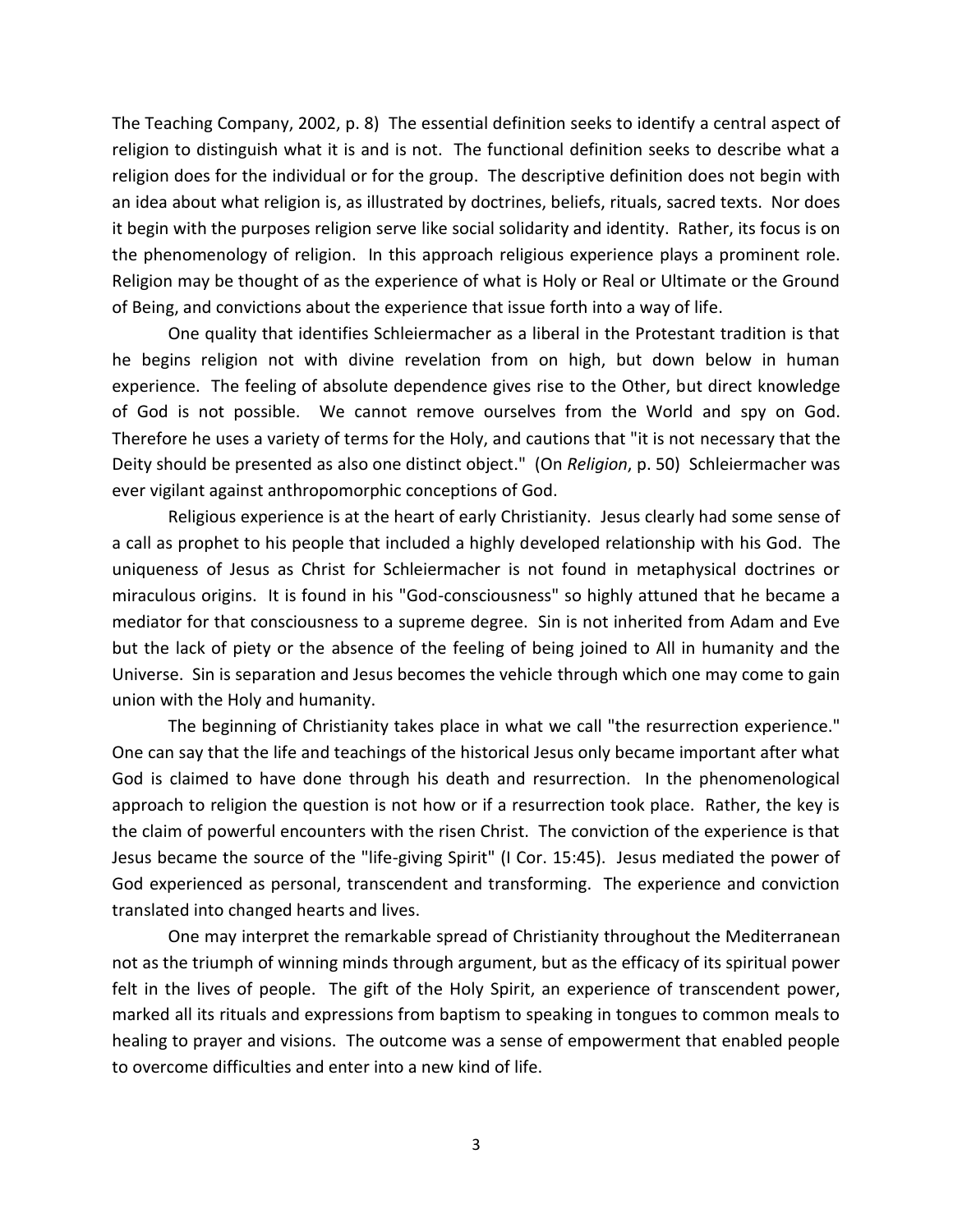The Teaching Company, 2002, p. 8) The essential definition seeks to identify a central aspect of religion to distinguish what it is and is not. The functional definition seeks to describe what a religion does for the individual or for the group. The descriptive definition does not begin with an idea about what religion is, as illustrated by doctrines, beliefs, rituals, sacred texts. Nor does it begin with the purposes religion serve like social solidarity and identity. Rather, its focus is on the phenomenology of religion. In this approach religious experience plays a prominent role. Religion may be thought of as the experience of what is Holy or Real or Ultimate or the Ground of Being, and convictions about the experience that issue forth into a way of life.

One quality that identifies Schleiermacher as a liberal in the Protestant tradition is that he begins religion not with divine revelation from on high, but down below in human experience. The feeling of absolute dependence gives rise to the Other, but direct knowledge of God is not possible. We cannot remove ourselves from the World and spy on God. Therefore he uses a variety of terms for the Holy, and cautions that "it is not necessary that the Deity should be presented as also one distinct object." (On *Religion*, p. 50) Schleiermacher was ever vigilant against anthropomorphic conceptions of God.

Religious experience is at the heart of early Christianity. Jesus clearly had some sense of a call as prophet to his people that included a highly developed relationship with his God. The uniqueness of Jesus as Christ for Schleiermacher is not found in metaphysical doctrines or miraculous origins. It is found in his "God-consciousness" so highly attuned that he became a mediator for that consciousness to a supreme degree. Sin is not inherited from Adam and Eve but the lack of piety or the absence of the feeling of being joined to All in humanity and the Universe. Sin is separation and Jesus becomes the vehicle through which one may come to gain union with the Holy and humanity.

The beginning of Christianity takes place in what we call "the resurrection experience." One can say that the life and teachings of the historical Jesus only became important after what God is claimed to have done through his death and resurrection. In the phenomenological approach to religion the question is not how or if a resurrection took place. Rather, the key is the claim of powerful encounters with the risen Christ. The conviction of the experience is that Jesus became the source of the "life-giving Spirit" (I Cor. 15:45). Jesus mediated the power of God experienced as personal, transcendent and transforming. The experience and conviction translated into changed hearts and lives.

One may interpret the remarkable spread of Christianity throughout the Mediterranean not as the triumph of winning minds through argument, but as the efficacy of its spiritual power felt in the lives of people. The gift of the Holy Spirit, an experience of transcendent power, marked all its rituals and expressions from baptism to speaking in tongues to common meals to healing to prayer and visions. The outcome was a sense of empowerment that enabled people to overcome difficulties and enter into a new kind of life.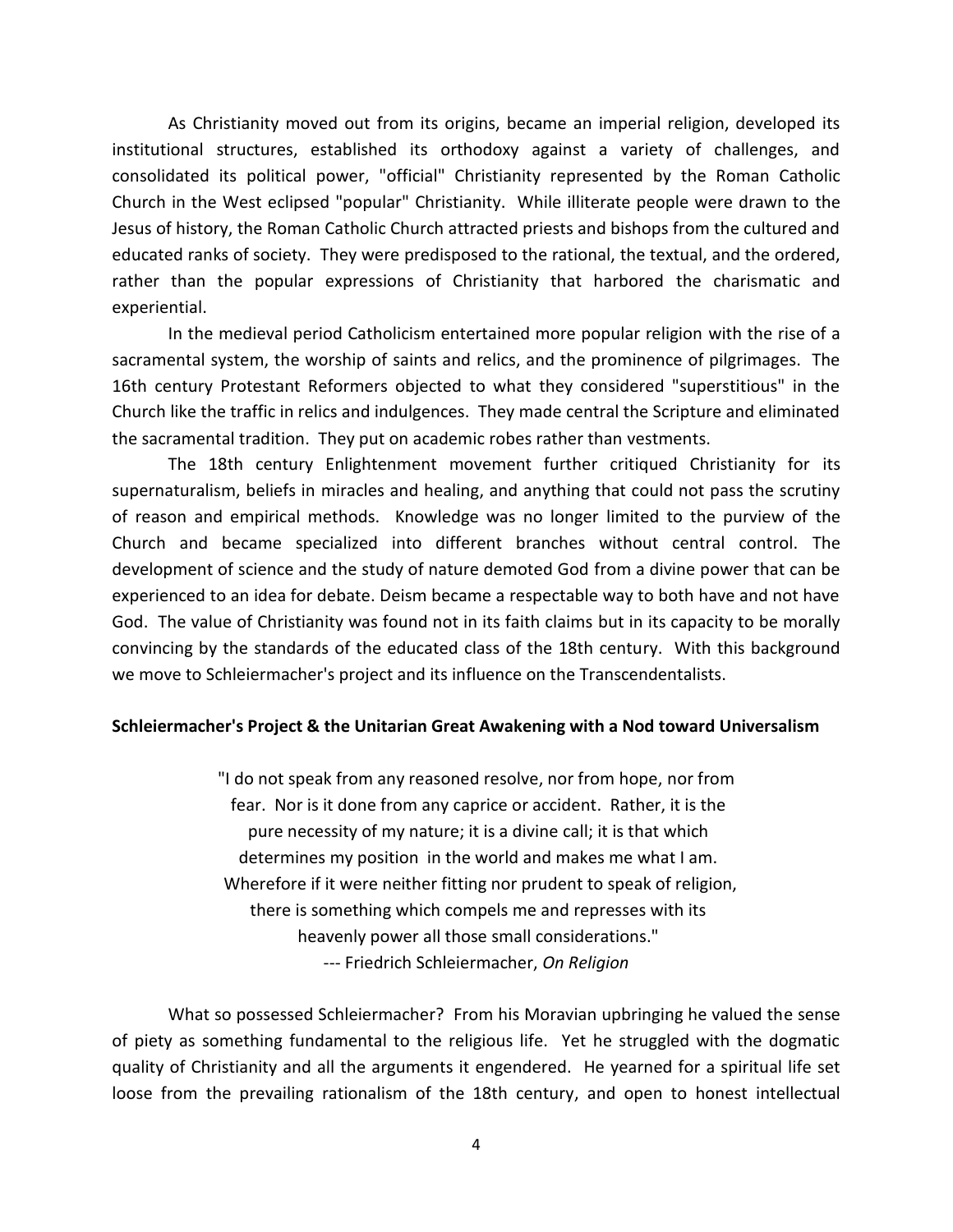As Christianity moved out from its origins, became an imperial religion, developed its institutional structures, established its orthodoxy against a variety of challenges, and consolidated its political power, "official" Christianity represented by the Roman Catholic Church in the West eclipsed "popular" Christianity. While illiterate people were drawn to the Jesus of history, the Roman Catholic Church attracted priests and bishops from the cultured and educated ranks of society. They were predisposed to the rational, the textual, and the ordered, rather than the popular expressions of Christianity that harbored the charismatic and experiential.

In the medieval period Catholicism entertained more popular religion with the rise of a sacramental system, the worship of saints and relics, and the prominence of pilgrimages. The 16th century Protestant Reformers objected to what they considered "superstitious" in the Church like the traffic in relics and indulgences. They made central the Scripture and eliminated the sacramental tradition. They put on academic robes rather than vestments.

The 18th century Enlightenment movement further critiqued Christianity for its supernaturalism, beliefs in miracles and healing, and anything that could not pass the scrutiny of reason and empirical methods. Knowledge was no longer limited to the purview of the Church and became specialized into different branches without central control. The development of science and the study of nature demoted God from a divine power that can be experienced to an idea for debate. Deism became a respectable way to both have and not have God. The value of Christianity was found not in its faith claims but in its capacity to be morally convincing by the standards of the educated class of the 18th century. With this background we move to Schleiermacher's project and its influence on the Transcendentalists.

## **Schleiermacher's Project & the Unitarian Great Awakening with a Nod toward Universalism**

"I do not speak from any reasoned resolve, nor from hope, nor from fear. Nor is it done from any caprice or accident. Rather, it is the pure necessity of my nature; it is a divine call; it is that which determines my position in the world and makes me what I am. Wherefore if it were neither fitting nor prudent to speak of religion, there is something which compels me and represses with its heavenly power all those small considerations." --- Friedrich Schleiermacher, *On Religion*

What so possessed Schleiermacher? From his Moravian upbringing he valued the sense of piety as something fundamental to the religious life. Yet he struggled with the dogmatic quality of Christianity and all the arguments it engendered. He yearned for a spiritual life set loose from the prevailing rationalism of the 18th century, and open to honest intellectual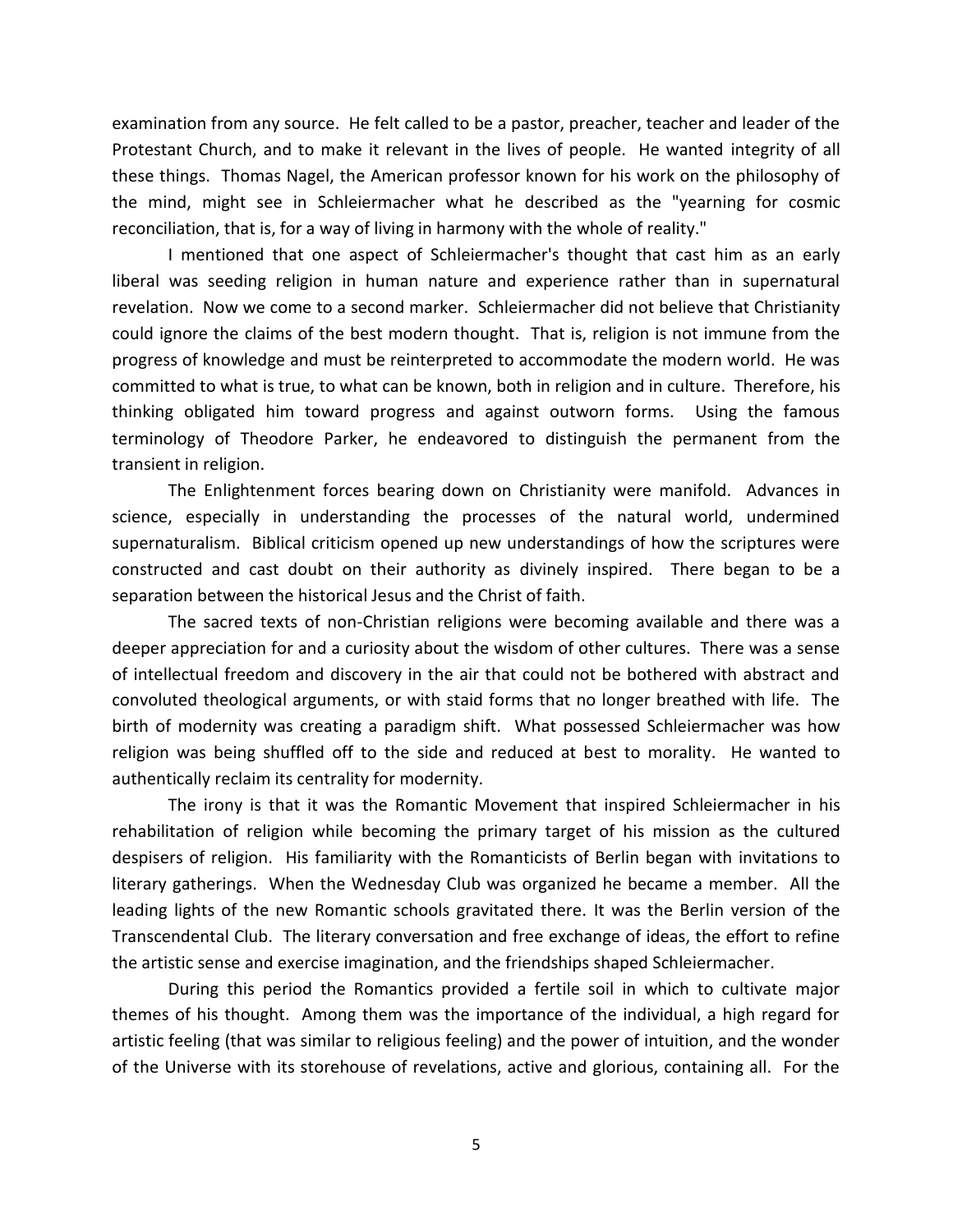examination from any source. He felt called to be a pastor, preacher, teacher and leader of the Protestant Church, and to make it relevant in the lives of people. He wanted integrity of all these things. Thomas Nagel, the American professor known for his work on the philosophy of the mind, might see in Schleiermacher what he described as the "yearning for cosmic reconciliation, that is, for a way of living in harmony with the whole of reality."

I mentioned that one aspect of Schleiermacher's thought that cast him as an early liberal was seeding religion in human nature and experience rather than in supernatural revelation. Now we come to a second marker. Schleiermacher did not believe that Christianity could ignore the claims of the best modern thought. That is, religion is not immune from the progress of knowledge and must be reinterpreted to accommodate the modern world. He was committed to what is true, to what can be known, both in religion and in culture. Therefore, his thinking obligated him toward progress and against outworn forms. Using the famous terminology of Theodore Parker, he endeavored to distinguish the permanent from the transient in religion.

The Enlightenment forces bearing down on Christianity were manifold. Advances in science, especially in understanding the processes of the natural world, undermined supernaturalism. Biblical criticism opened up new understandings of how the scriptures were constructed and cast doubt on their authority as divinely inspired. There began to be a separation between the historical Jesus and the Christ of faith.

The sacred texts of non-Christian religions were becoming available and there was a deeper appreciation for and a curiosity about the wisdom of other cultures. There was a sense of intellectual freedom and discovery in the air that could not be bothered with abstract and convoluted theological arguments, or with staid forms that no longer breathed with life. The birth of modernity was creating a paradigm shift. What possessed Schleiermacher was how religion was being shuffled off to the side and reduced at best to morality. He wanted to authentically reclaim its centrality for modernity.

The irony is that it was the Romantic Movement that inspired Schleiermacher in his rehabilitation of religion while becoming the primary target of his mission as the cultured despisers of religion. His familiarity with the Romanticists of Berlin began with invitations to literary gatherings. When the Wednesday Club was organized he became a member. All the leading lights of the new Romantic schools gravitated there. It was the Berlin version of the Transcendental Club. The literary conversation and free exchange of ideas, the effort to refine the artistic sense and exercise imagination, and the friendships shaped Schleiermacher.

During this period the Romantics provided a fertile soil in which to cultivate major themes of his thought. Among them was the importance of the individual, a high regard for artistic feeling (that was similar to religious feeling) and the power of intuition, and the wonder of the Universe with its storehouse of revelations, active and glorious, containing all. For the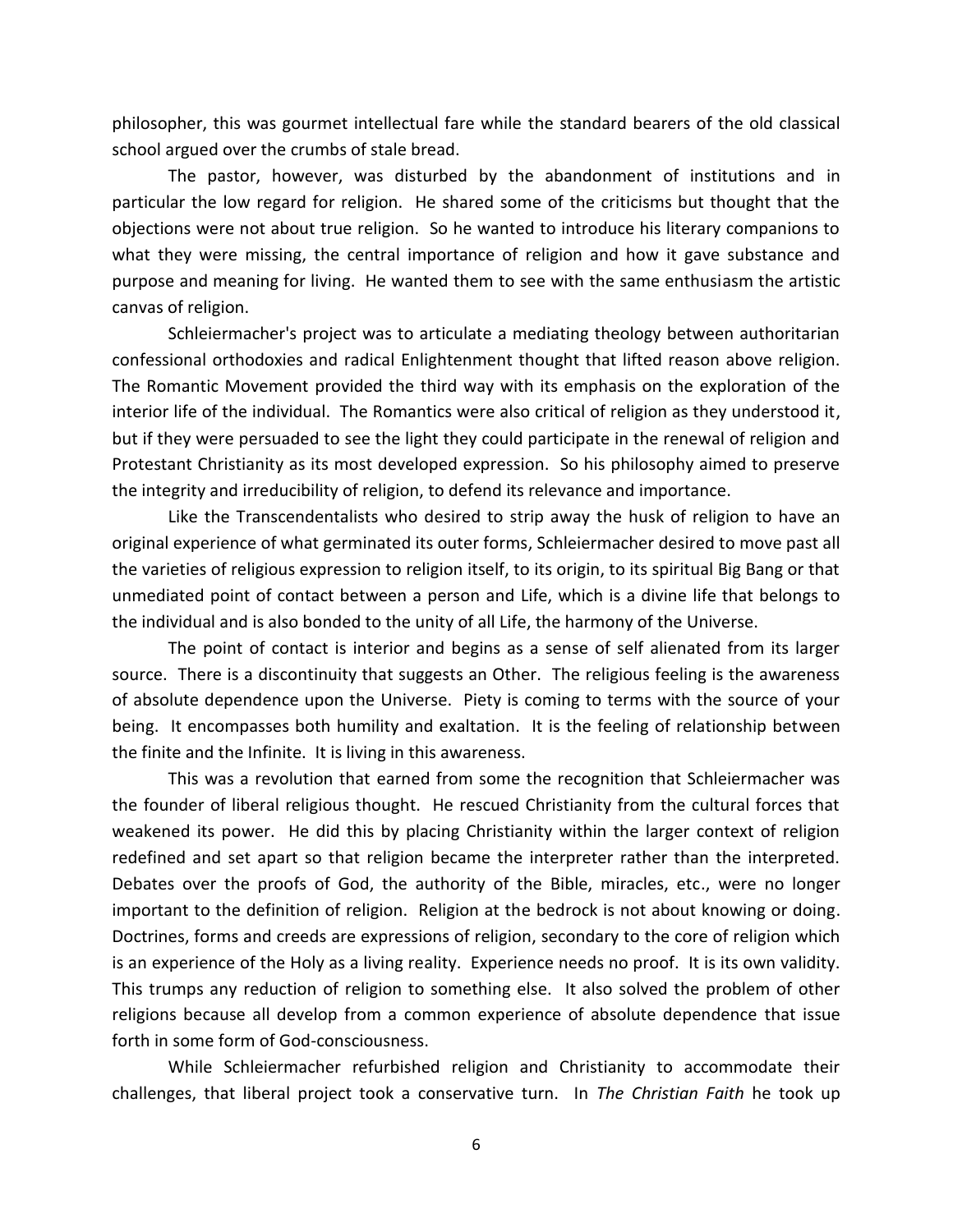philosopher, this was gourmet intellectual fare while the standard bearers of the old classical school argued over the crumbs of stale bread.

The pastor, however, was disturbed by the abandonment of institutions and in particular the low regard for religion. He shared some of the criticisms but thought that the objections were not about true religion. So he wanted to introduce his literary companions to what they were missing, the central importance of religion and how it gave substance and purpose and meaning for living. He wanted them to see with the same enthusiasm the artistic canvas of religion.

Schleiermacher's project was to articulate a mediating theology between authoritarian confessional orthodoxies and radical Enlightenment thought that lifted reason above religion. The Romantic Movement provided the third way with its emphasis on the exploration of the interior life of the individual. The Romantics were also critical of religion as they understood it, but if they were persuaded to see the light they could participate in the renewal of religion and Protestant Christianity as its most developed expression. So his philosophy aimed to preserve the integrity and irreducibility of religion, to defend its relevance and importance.

Like the Transcendentalists who desired to strip away the husk of religion to have an original experience of what germinated its outer forms, Schleiermacher desired to move past all the varieties of religious expression to religion itself, to its origin, to its spiritual Big Bang or that unmediated point of contact between a person and Life, which is a divine life that belongs to the individual and is also bonded to the unity of all Life, the harmony of the Universe.

The point of contact is interior and begins as a sense of self alienated from its larger source. There is a discontinuity that suggests an Other. The religious feeling is the awareness of absolute dependence upon the Universe. Piety is coming to terms with the source of your being. It encompasses both humility and exaltation. It is the feeling of relationship between the finite and the Infinite. It is living in this awareness.

This was a revolution that earned from some the recognition that Schleiermacher was the founder of liberal religious thought. He rescued Christianity from the cultural forces that weakened its power. He did this by placing Christianity within the larger context of religion redefined and set apart so that religion became the interpreter rather than the interpreted. Debates over the proofs of God, the authority of the Bible, miracles, etc., were no longer important to the definition of religion. Religion at the bedrock is not about knowing or doing. Doctrines, forms and creeds are expressions of religion, secondary to the core of religion which is an experience of the Holy as a living reality. Experience needs no proof. It is its own validity. This trumps any reduction of religion to something else. It also solved the problem of other religions because all develop from a common experience of absolute dependence that issue forth in some form of God-consciousness.

While Schleiermacher refurbished religion and Christianity to accommodate their challenges, that liberal project took a conservative turn. In *The Christian Faith* he took up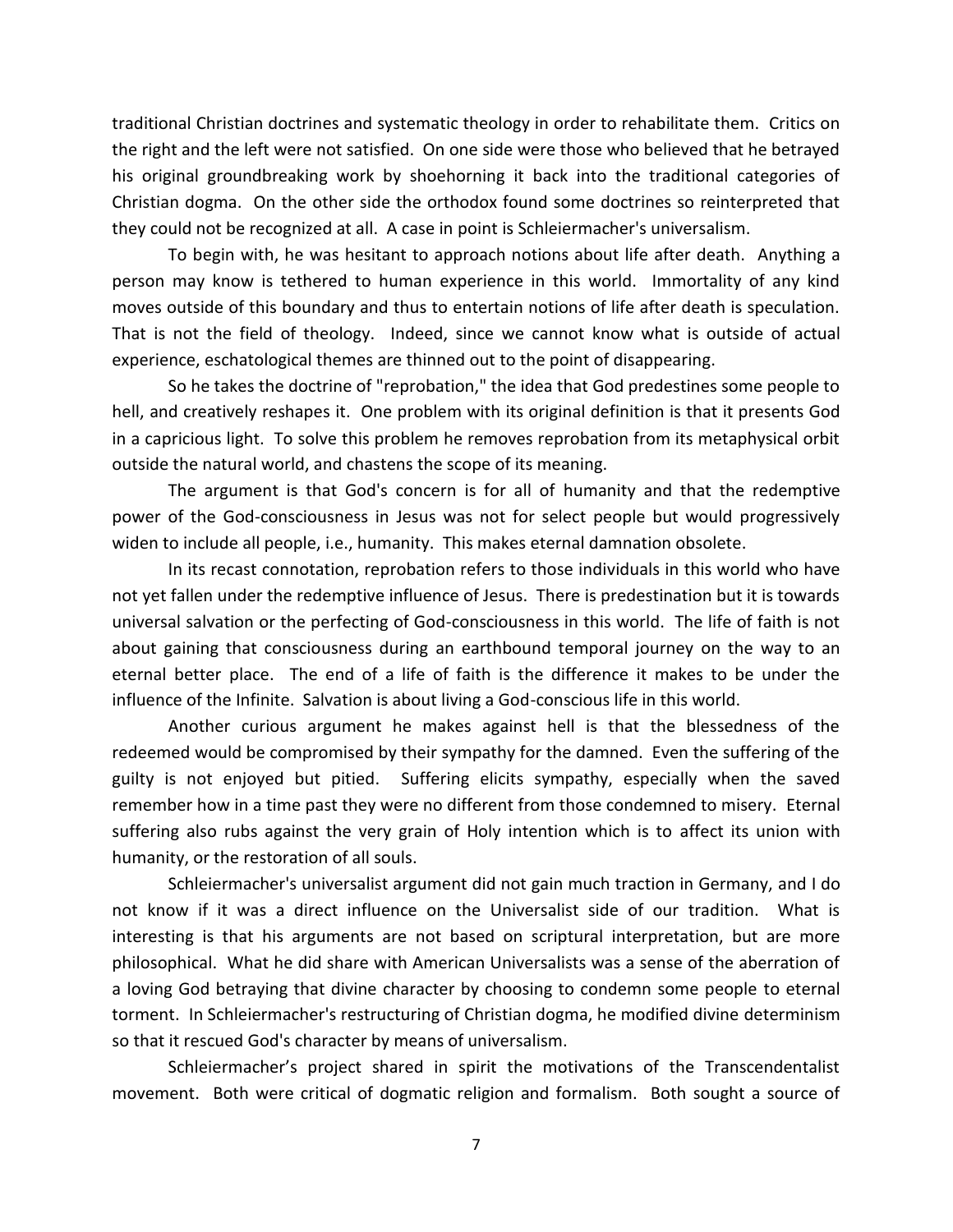traditional Christian doctrines and systematic theology in order to rehabilitate them. Critics on the right and the left were not satisfied. On one side were those who believed that he betrayed his original groundbreaking work by shoehorning it back into the traditional categories of Christian dogma. On the other side the orthodox found some doctrines so reinterpreted that they could not be recognized at all. A case in point is Schleiermacher's universalism.

To begin with, he was hesitant to approach notions about life after death. Anything a person may know is tethered to human experience in this world. Immortality of any kind moves outside of this boundary and thus to entertain notions of life after death is speculation. That is not the field of theology. Indeed, since we cannot know what is outside of actual experience, eschatological themes are thinned out to the point of disappearing.

So he takes the doctrine of "reprobation," the idea that God predestines some people to hell, and creatively reshapes it. One problem with its original definition is that it presents God in a capricious light. To solve this problem he removes reprobation from its metaphysical orbit outside the natural world, and chastens the scope of its meaning.

The argument is that God's concern is for all of humanity and that the redemptive power of the God-consciousness in Jesus was not for select people but would progressively widen to include all people, i.e., humanity. This makes eternal damnation obsolete.

In its recast connotation, reprobation refers to those individuals in this world who have not yet fallen under the redemptive influence of Jesus. There is predestination but it is towards universal salvation or the perfecting of God-consciousness in this world. The life of faith is not about gaining that consciousness during an earthbound temporal journey on the way to an eternal better place. The end of a life of faith is the difference it makes to be under the influence of the Infinite. Salvation is about living a God-conscious life in this world.

Another curious argument he makes against hell is that the blessedness of the redeemed would be compromised by their sympathy for the damned. Even the suffering of the guilty is not enjoyed but pitied. Suffering elicits sympathy, especially when the saved remember how in a time past they were no different from those condemned to misery. Eternal suffering also rubs against the very grain of Holy intention which is to affect its union with humanity, or the restoration of all souls.

Schleiermacher's universalist argument did not gain much traction in Germany, and I do not know if it was a direct influence on the Universalist side of our tradition. What is interesting is that his arguments are not based on scriptural interpretation, but are more philosophical. What he did share with American Universalists was a sense of the aberration of a loving God betraying that divine character by choosing to condemn some people to eternal torment. In Schleiermacher's restructuring of Christian dogma, he modified divine determinism so that it rescued God's character by means of universalism.

Schleiermacher's project shared in spirit the motivations of the Transcendentalist movement. Both were critical of dogmatic religion and formalism. Both sought a source of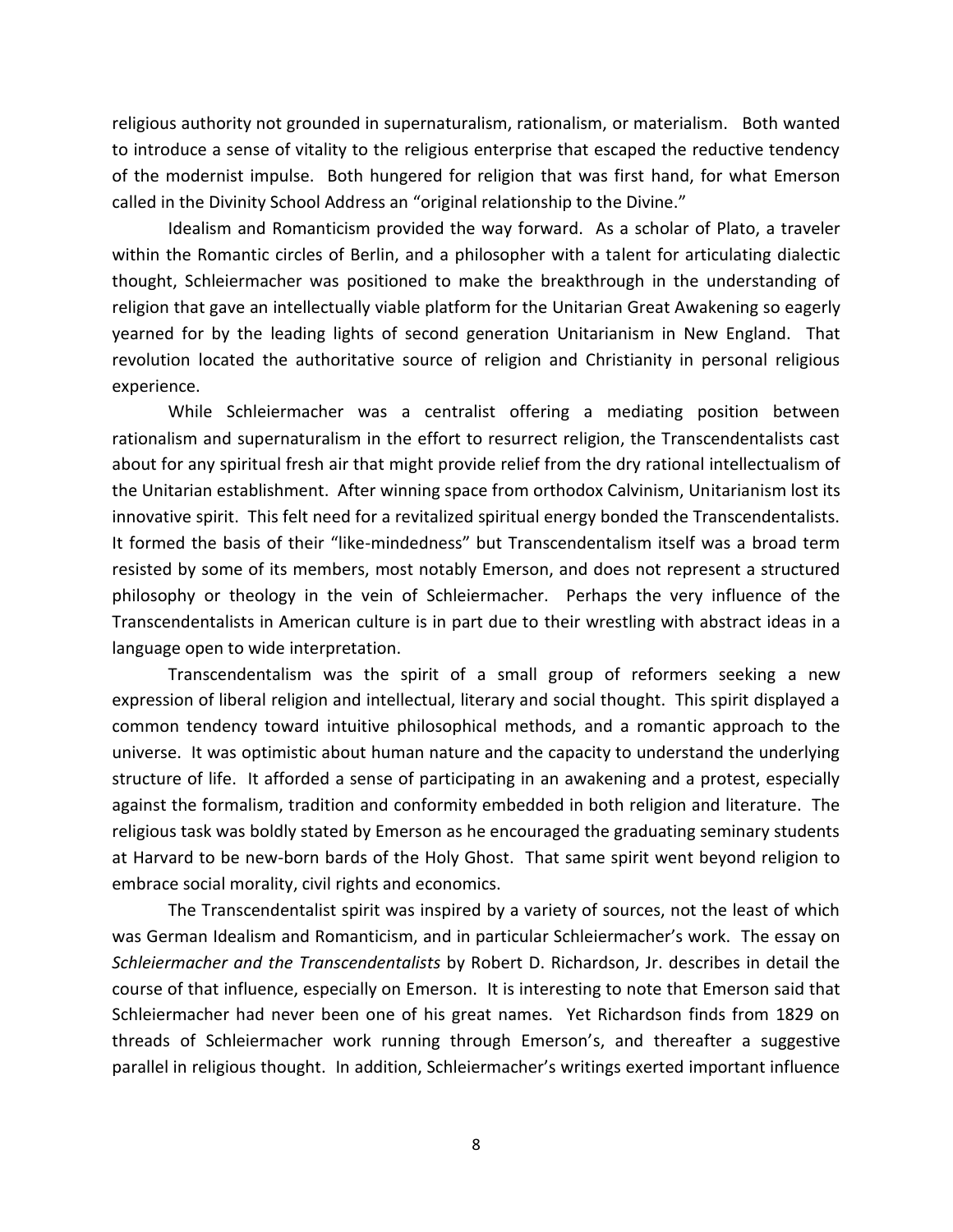religious authority not grounded in supernaturalism, rationalism, or materialism. Both wanted to introduce a sense of vitality to the religious enterprise that escaped the reductive tendency of the modernist impulse. Both hungered for religion that was first hand, for what Emerson called in the Divinity School Address an "original relationship to the Divine."

Idealism and Romanticism provided the way forward. As a scholar of Plato, a traveler within the Romantic circles of Berlin, and a philosopher with a talent for articulating dialectic thought, Schleiermacher was positioned to make the breakthrough in the understanding of religion that gave an intellectually viable platform for the Unitarian Great Awakening so eagerly yearned for by the leading lights of second generation Unitarianism in New England. That revolution located the authoritative source of religion and Christianity in personal religious experience.

While Schleiermacher was a centralist offering a mediating position between rationalism and supernaturalism in the effort to resurrect religion, the Transcendentalists cast about for any spiritual fresh air that might provide relief from the dry rational intellectualism of the Unitarian establishment. After winning space from orthodox Calvinism, Unitarianism lost its innovative spirit. This felt need for a revitalized spiritual energy bonded the Transcendentalists. It formed the basis of their "like-mindedness" but Transcendentalism itself was a broad term resisted by some of its members, most notably Emerson, and does not represent a structured philosophy or theology in the vein of Schleiermacher. Perhaps the very influence of the Transcendentalists in American culture is in part due to their wrestling with abstract ideas in a language open to wide interpretation.

Transcendentalism was the spirit of a small group of reformers seeking a new expression of liberal religion and intellectual, literary and social thought. This spirit displayed a common tendency toward intuitive philosophical methods, and a romantic approach to the universe. It was optimistic about human nature and the capacity to understand the underlying structure of life. It afforded a sense of participating in an awakening and a protest, especially against the formalism, tradition and conformity embedded in both religion and literature. The religious task was boldly stated by Emerson as he encouraged the graduating seminary students at Harvard to be new-born bards of the Holy Ghost. That same spirit went beyond religion to embrace social morality, civil rights and economics.

The Transcendentalist spirit was inspired by a variety of sources, not the least of which was German Idealism and Romanticism, and in particular Schleiermacher's work. The essay on *Schleiermacher and the Transcendentalists* by Robert D. Richardson, Jr. describes in detail the course of that influence, especially on Emerson. It is interesting to note that Emerson said that Schleiermacher had never been one of his great names. Yet Richardson finds from 1829 on threads of Schleiermacher work running through Emerson's, and thereafter a suggestive parallel in religious thought. In addition, Schleiermacher's writings exerted important influence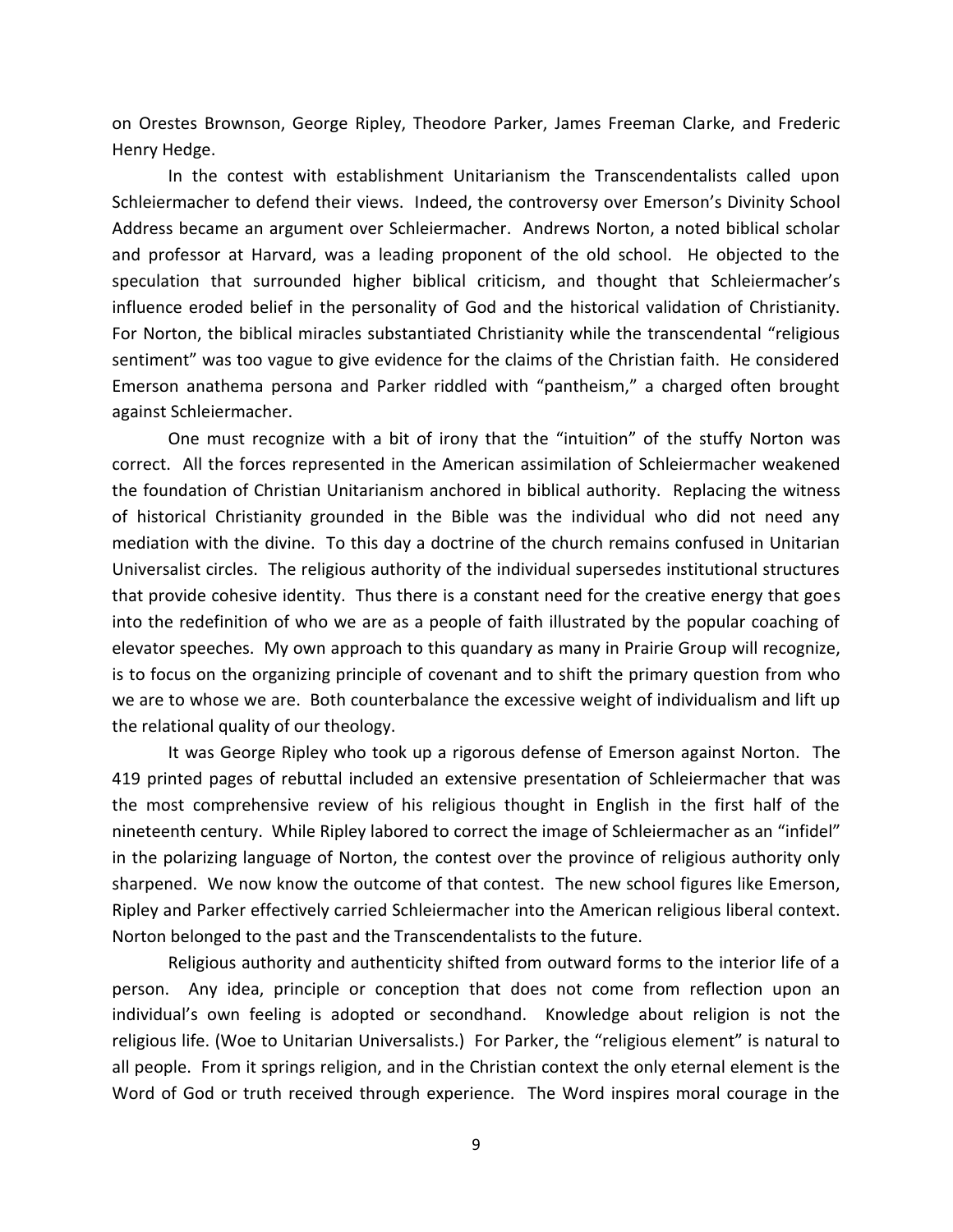on Orestes Brownson, George Ripley, Theodore Parker, James Freeman Clarke, and Frederic Henry Hedge.

In the contest with establishment Unitarianism the Transcendentalists called upon Schleiermacher to defend their views. Indeed, the controversy over Emerson's Divinity School Address became an argument over Schleiermacher. Andrews Norton, a noted biblical scholar and professor at Harvard, was a leading proponent of the old school. He objected to the speculation that surrounded higher biblical criticism, and thought that Schleiermacher's influence eroded belief in the personality of God and the historical validation of Christianity. For Norton, the biblical miracles substantiated Christianity while the transcendental "religious sentiment" was too vague to give evidence for the claims of the Christian faith. He considered Emerson anathema persona and Parker riddled with "pantheism," a charged often brought against Schleiermacher.

One must recognize with a bit of irony that the "intuition" of the stuffy Norton was correct. All the forces represented in the American assimilation of Schleiermacher weakened the foundation of Christian Unitarianism anchored in biblical authority. Replacing the witness of historical Christianity grounded in the Bible was the individual who did not need any mediation with the divine. To this day a doctrine of the church remains confused in Unitarian Universalist circles. The religious authority of the individual supersedes institutional structures that provide cohesive identity. Thus there is a constant need for the creative energy that goes into the redefinition of who we are as a people of faith illustrated by the popular coaching of elevator speeches. My own approach to this quandary as many in Prairie Group will recognize, is to focus on the organizing principle of covenant and to shift the primary question from who we are to whose we are. Both counterbalance the excessive weight of individualism and lift up the relational quality of our theology.

It was George Ripley who took up a rigorous defense of Emerson against Norton. The 419 printed pages of rebuttal included an extensive presentation of Schleiermacher that was the most comprehensive review of his religious thought in English in the first half of the nineteenth century. While Ripley labored to correct the image of Schleiermacher as an "infidel" in the polarizing language of Norton, the contest over the province of religious authority only sharpened. We now know the outcome of that contest. The new school figures like Emerson, Ripley and Parker effectively carried Schleiermacher into the American religious liberal context. Norton belonged to the past and the Transcendentalists to the future.

Religious authority and authenticity shifted from outward forms to the interior life of a person. Any idea, principle or conception that does not come from reflection upon an individual's own feeling is adopted or secondhand. Knowledge about religion is not the religious life. (Woe to Unitarian Universalists.) For Parker, the "religious element" is natural to all people. From it springs religion, and in the Christian context the only eternal element is the Word of God or truth received through experience. The Word inspires moral courage in the

9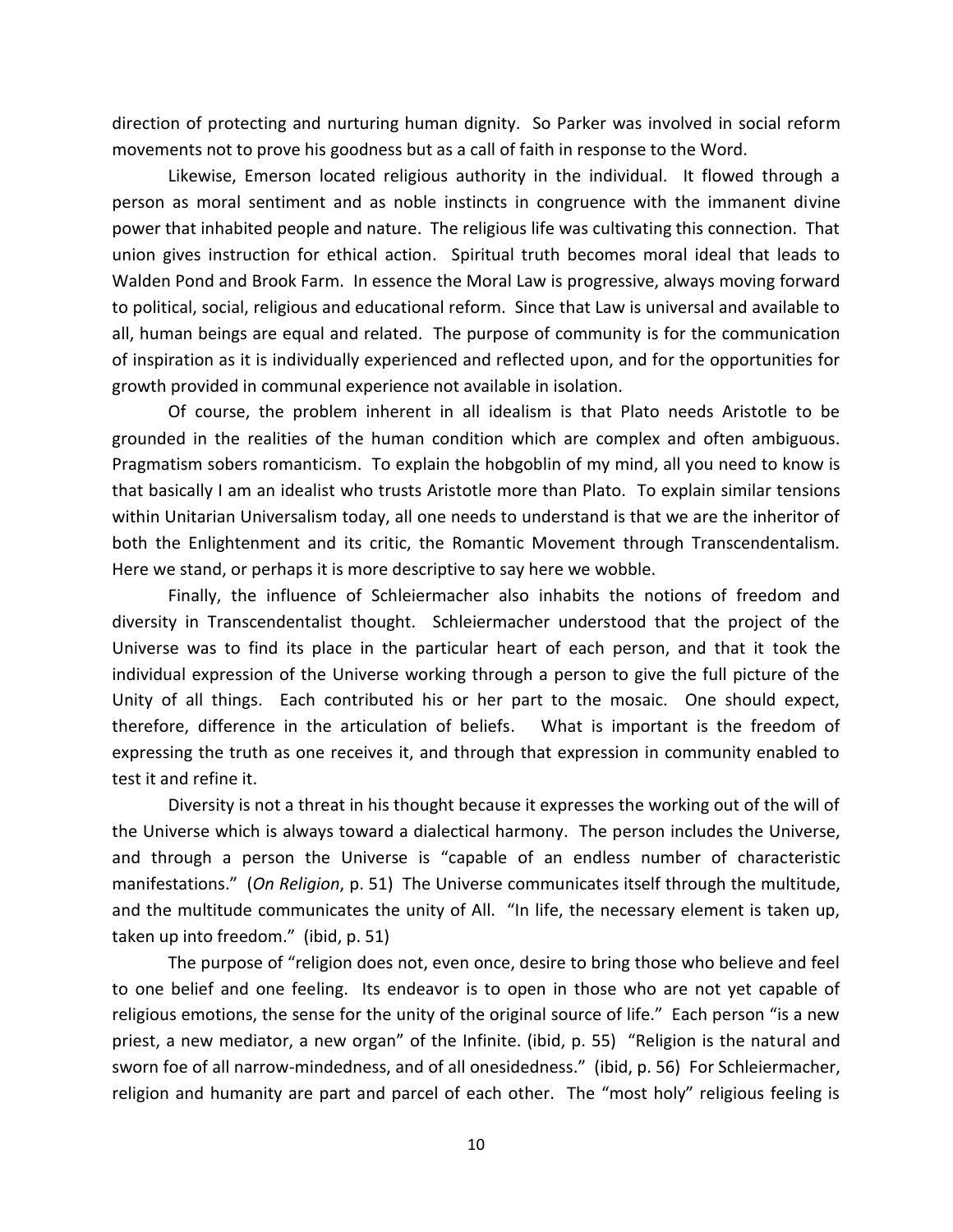direction of protecting and nurturing human dignity. So Parker was involved in social reform movements not to prove his goodness but as a call of faith in response to the Word.

Likewise, Emerson located religious authority in the individual. It flowed through a person as moral sentiment and as noble instincts in congruence with the immanent divine power that inhabited people and nature. The religious life was cultivating this connection. That union gives instruction for ethical action. Spiritual truth becomes moral ideal that leads to Walden Pond and Brook Farm. In essence the Moral Law is progressive, always moving forward to political, social, religious and educational reform. Since that Law is universal and available to all, human beings are equal and related. The purpose of community is for the communication of inspiration as it is individually experienced and reflected upon, and for the opportunities for growth provided in communal experience not available in isolation.

Of course, the problem inherent in all idealism is that Plato needs Aristotle to be grounded in the realities of the human condition which are complex and often ambiguous. Pragmatism sobers romanticism. To explain the hobgoblin of my mind, all you need to know is that basically I am an idealist who trusts Aristotle more than Plato. To explain similar tensions within Unitarian Universalism today, all one needs to understand is that we are the inheritor of both the Enlightenment and its critic, the Romantic Movement through Transcendentalism. Here we stand, or perhaps it is more descriptive to say here we wobble.

Finally, the influence of Schleiermacher also inhabits the notions of freedom and diversity in Transcendentalist thought. Schleiermacher understood that the project of the Universe was to find its place in the particular heart of each person, and that it took the individual expression of the Universe working through a person to give the full picture of the Unity of all things. Each contributed his or her part to the mosaic. One should expect, therefore, difference in the articulation of beliefs. What is important is the freedom of expressing the truth as one receives it, and through that expression in community enabled to test it and refine it.

Diversity is not a threat in his thought because it expresses the working out of the will of the Universe which is always toward a dialectical harmony. The person includes the Universe, and through a person the Universe is "capable of an endless number of characteristic manifestations." (*On Religion*, p. 51) The Universe communicates itself through the multitude, and the multitude communicates the unity of All. "In life, the necessary element is taken up, taken up into freedom." (ibid, p. 51)

The purpose of "religion does not, even once, desire to bring those who believe and feel to one belief and one feeling. Its endeavor is to open in those who are not yet capable of religious emotions, the sense for the unity of the original source of life." Each person "is a new priest, a new mediator, a new organ" of the Infinite. (ibid, p. 55) "Religion is the natural and sworn foe of all narrow-mindedness, and of all onesidedness." (ibid, p. 56) For Schleiermacher, religion and humanity are part and parcel of each other. The "most holy" religious feeling is

10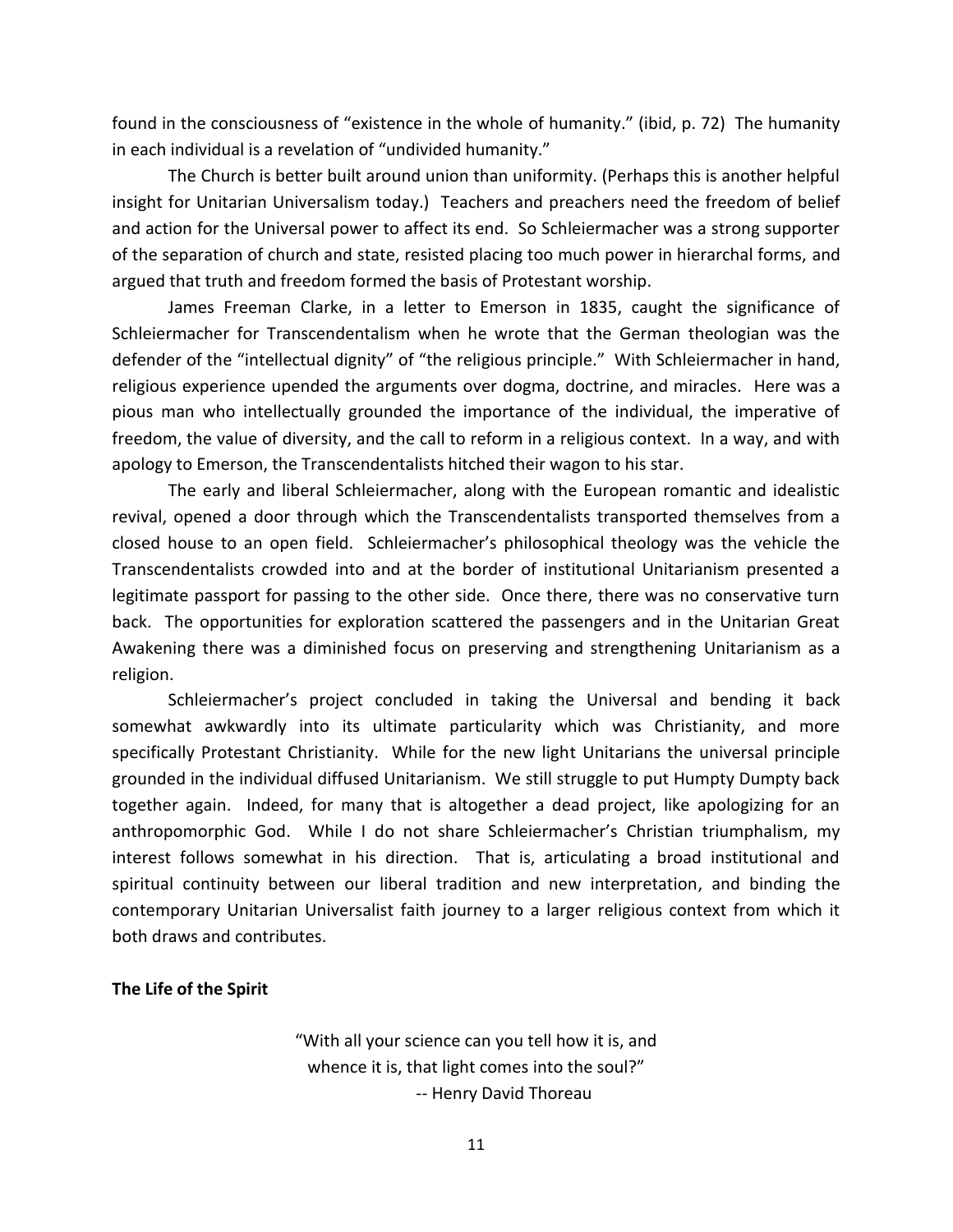found in the consciousness of "existence in the whole of humanity." (ibid, p. 72) The humanity in each individual is a revelation of "undivided humanity."

The Church is better built around union than uniformity. (Perhaps this is another helpful insight for Unitarian Universalism today.) Teachers and preachers need the freedom of belief and action for the Universal power to affect its end. So Schleiermacher was a strong supporter of the separation of church and state, resisted placing too much power in hierarchal forms, and argued that truth and freedom formed the basis of Protestant worship.

James Freeman Clarke, in a letter to Emerson in 1835, caught the significance of Schleiermacher for Transcendentalism when he wrote that the German theologian was the defender of the "intellectual dignity" of "the religious principle." With Schleiermacher in hand, religious experience upended the arguments over dogma, doctrine, and miracles. Here was a pious man who intellectually grounded the importance of the individual, the imperative of freedom, the value of diversity, and the call to reform in a religious context. In a way, and with apology to Emerson, the Transcendentalists hitched their wagon to his star.

The early and liberal Schleiermacher, along with the European romantic and idealistic revival, opened a door through which the Transcendentalists transported themselves from a closed house to an open field. Schleiermacher's philosophical theology was the vehicle the Transcendentalists crowded into and at the border of institutional Unitarianism presented a legitimate passport for passing to the other side. Once there, there was no conservative turn back. The opportunities for exploration scattered the passengers and in the Unitarian Great Awakening there was a diminished focus on preserving and strengthening Unitarianism as a religion.

Schleiermacher's project concluded in taking the Universal and bending it back somewhat awkwardly into its ultimate particularity which was Christianity, and more specifically Protestant Christianity. While for the new light Unitarians the universal principle grounded in the individual diffused Unitarianism. We still struggle to put Humpty Dumpty back together again. Indeed, for many that is altogether a dead project, like apologizing for an anthropomorphic God. While I do not share Schleiermacher's Christian triumphalism, my interest follows somewhat in his direction. That is, articulating a broad institutional and spiritual continuity between our liberal tradition and new interpretation, and binding the contemporary Unitarian Universalist faith journey to a larger religious context from which it both draws and contributes.

## **The Life of the Spirit**

"With all your science can you tell how it is, and whence it is, that light comes into the soul?" -- Henry David Thoreau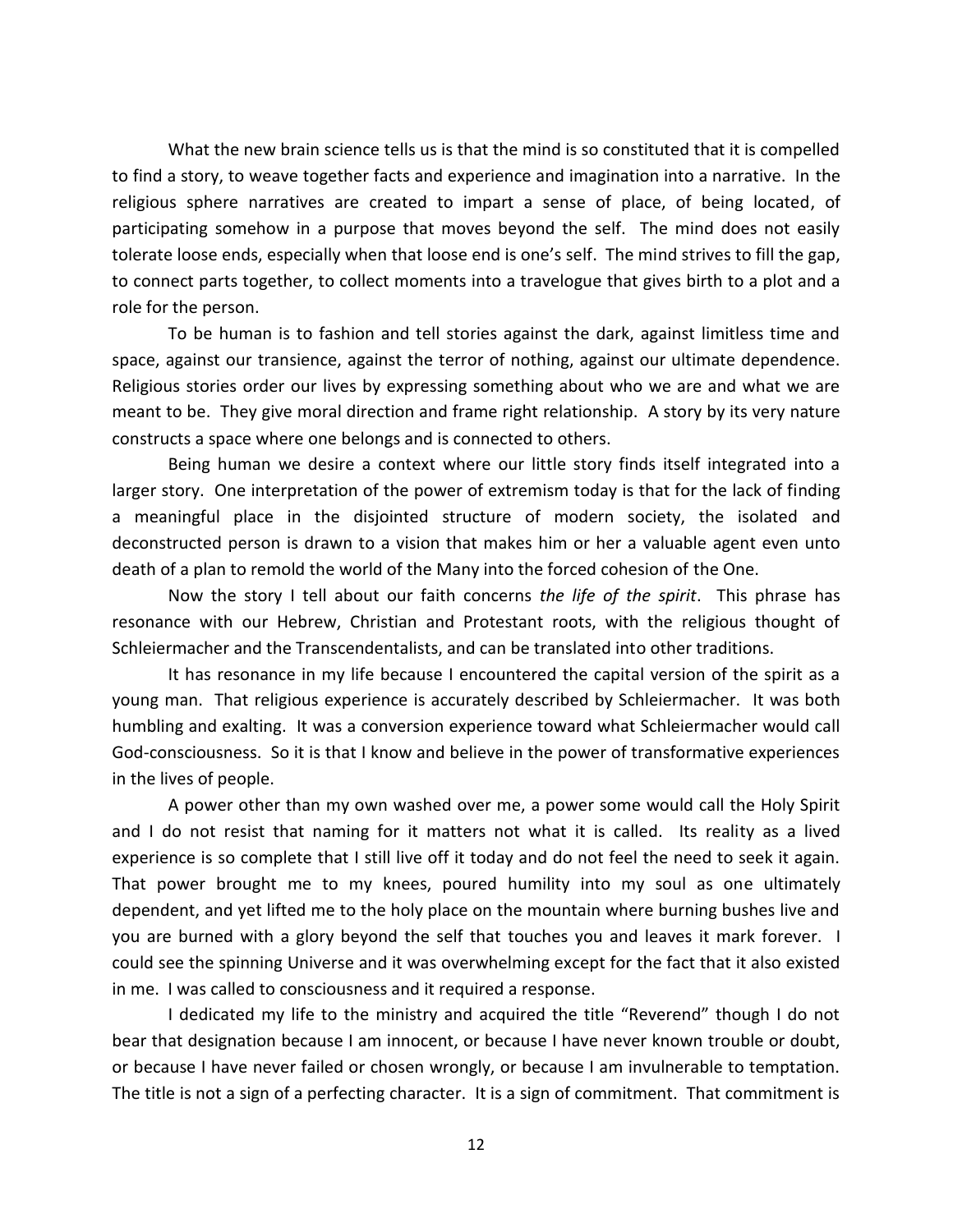What the new brain science tells us is that the mind is so constituted that it is compelled to find a story, to weave together facts and experience and imagination into a narrative. In the religious sphere narratives are created to impart a sense of place, of being located, of participating somehow in a purpose that moves beyond the self. The mind does not easily tolerate loose ends, especially when that loose end is one's self. The mind strives to fill the gap, to connect parts together, to collect moments into a travelogue that gives birth to a plot and a role for the person.

To be human is to fashion and tell stories against the dark, against limitless time and space, against our transience, against the terror of nothing, against our ultimate dependence. Religious stories order our lives by expressing something about who we are and what we are meant to be. They give moral direction and frame right relationship. A story by its very nature constructs a space where one belongs and is connected to others.

Being human we desire a context where our little story finds itself integrated into a larger story. One interpretation of the power of extremism today is that for the lack of finding a meaningful place in the disjointed structure of modern society, the isolated and deconstructed person is drawn to a vision that makes him or her a valuable agent even unto death of a plan to remold the world of the Many into the forced cohesion of the One.

Now the story I tell about our faith concerns *the life of the spirit*. This phrase has resonance with our Hebrew, Christian and Protestant roots, with the religious thought of Schleiermacher and the Transcendentalists, and can be translated into other traditions.

It has resonance in my life because I encountered the capital version of the spirit as a young man. That religious experience is accurately described by Schleiermacher. It was both humbling and exalting. It was a conversion experience toward what Schleiermacher would call God-consciousness. So it is that I know and believe in the power of transformative experiences in the lives of people.

A power other than my own washed over me, a power some would call the Holy Spirit and I do not resist that naming for it matters not what it is called. Its reality as a lived experience is so complete that I still live off it today and do not feel the need to seek it again. That power brought me to my knees, poured humility into my soul as one ultimately dependent, and yet lifted me to the holy place on the mountain where burning bushes live and you are burned with a glory beyond the self that touches you and leaves it mark forever. I could see the spinning Universe and it was overwhelming except for the fact that it also existed in me. I was called to consciousness and it required a response.

I dedicated my life to the ministry and acquired the title "Reverend" though I do not bear that designation because I am innocent, or because I have never known trouble or doubt, or because I have never failed or chosen wrongly, or because I am invulnerable to temptation. The title is not a sign of a perfecting character. It is a sign of commitment. That commitment is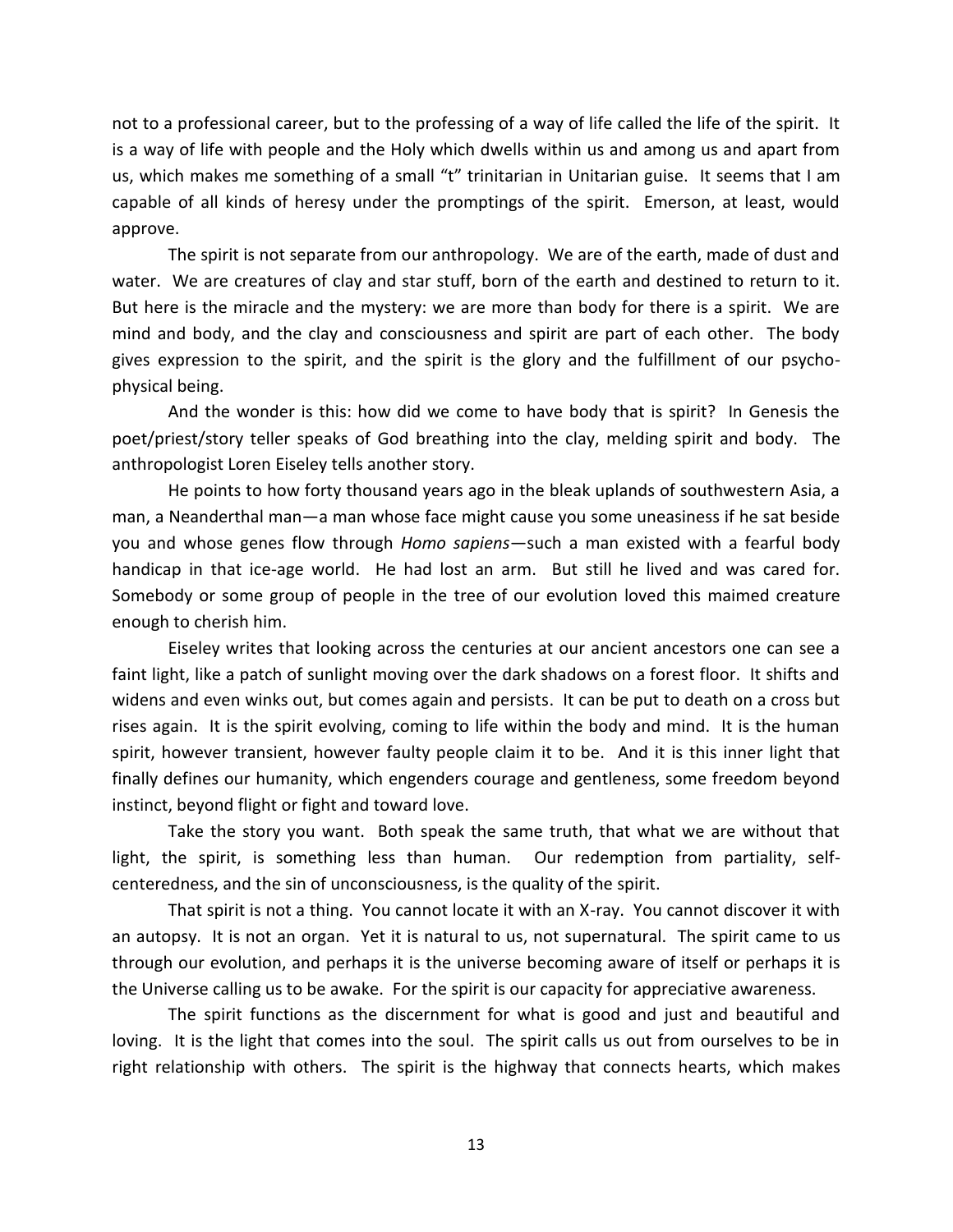not to a professional career, but to the professing of a way of life called the life of the spirit. It is a way of life with people and the Holy which dwells within us and among us and apart from us, which makes me something of a small "t" trinitarian in Unitarian guise. It seems that I am capable of all kinds of heresy under the promptings of the spirit. Emerson, at least, would approve.

The spirit is not separate from our anthropology. We are of the earth, made of dust and water. We are creatures of clay and star stuff, born of the earth and destined to return to it. But here is the miracle and the mystery: we are more than body for there is a spirit. We are mind and body, and the clay and consciousness and spirit are part of each other. The body gives expression to the spirit, and the spirit is the glory and the fulfillment of our psychophysical being.

And the wonder is this: how did we come to have body that is spirit? In Genesis the poet/priest/story teller speaks of God breathing into the clay, melding spirit and body. The anthropologist Loren Eiseley tells another story.

He points to how forty thousand years ago in the bleak uplands of southwestern Asia, a man, a Neanderthal man—a man whose face might cause you some uneasiness if he sat beside you and whose genes flow through *Homo sapiens*—such a man existed with a fearful body handicap in that ice-age world. He had lost an arm. But still he lived and was cared for. Somebody or some group of people in the tree of our evolution loved this maimed creature enough to cherish him.

Eiseley writes that looking across the centuries at our ancient ancestors one can see a faint light, like a patch of sunlight moving over the dark shadows on a forest floor. It shifts and widens and even winks out, but comes again and persists. It can be put to death on a cross but rises again. It is the spirit evolving, coming to life within the body and mind. It is the human spirit, however transient, however faulty people claim it to be. And it is this inner light that finally defines our humanity, which engenders courage and gentleness, some freedom beyond instinct, beyond flight or fight and toward love.

Take the story you want. Both speak the same truth, that what we are without that light, the spirit, is something less than human. Our redemption from partiality, selfcenteredness, and the sin of unconsciousness, is the quality of the spirit.

That spirit is not a thing. You cannot locate it with an X-ray. You cannot discover it with an autopsy. It is not an organ. Yet it is natural to us, not supernatural. The spirit came to us through our evolution, and perhaps it is the universe becoming aware of itself or perhaps it is the Universe calling us to be awake. For the spirit is our capacity for appreciative awareness.

The spirit functions as the discernment for what is good and just and beautiful and loving. It is the light that comes into the soul. The spirit calls us out from ourselves to be in right relationship with others. The spirit is the highway that connects hearts, which makes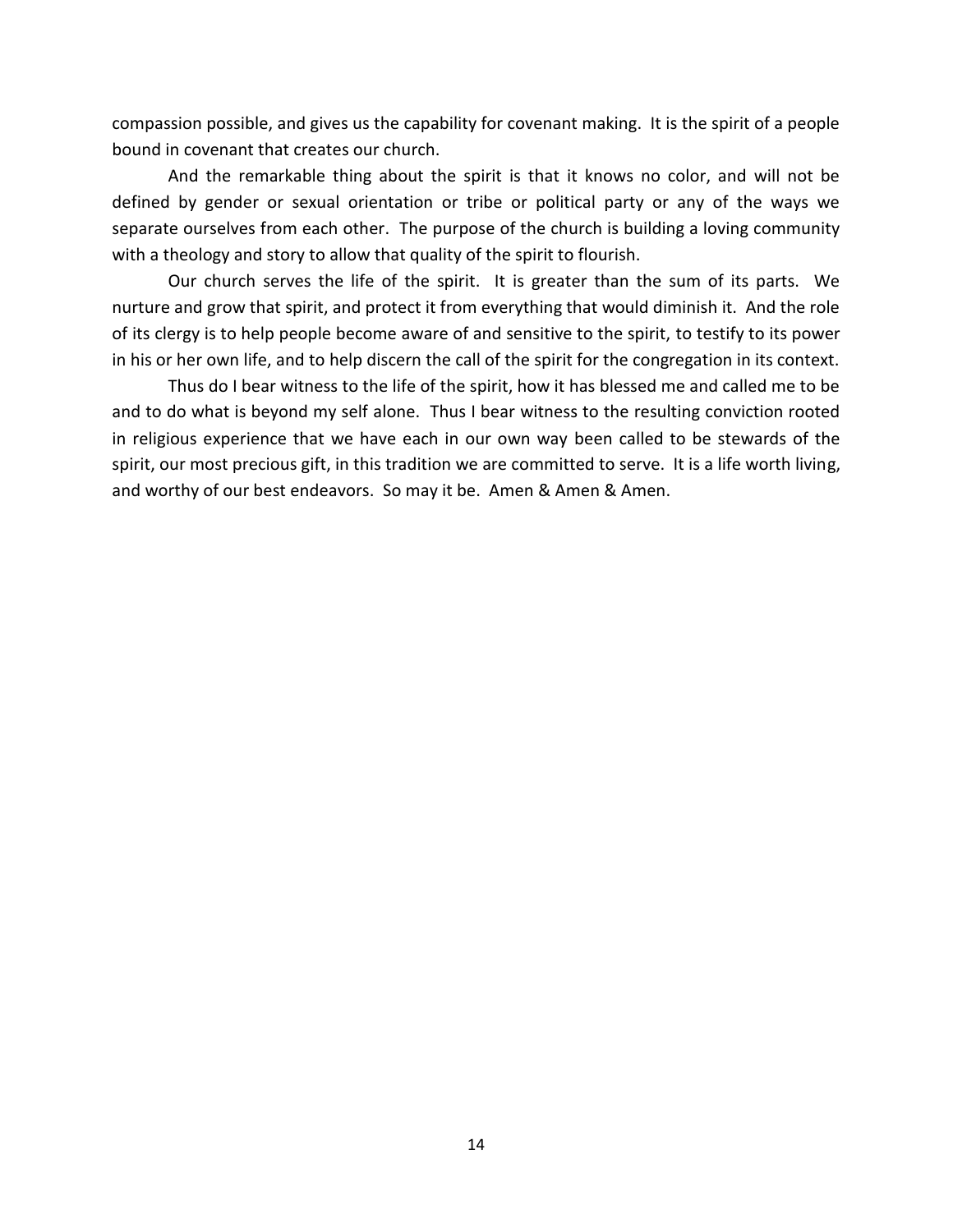compassion possible, and gives us the capability for covenant making. It is the spirit of a people bound in covenant that creates our church.

And the remarkable thing about the spirit is that it knows no color, and will not be defined by gender or sexual orientation or tribe or political party or any of the ways we separate ourselves from each other. The purpose of the church is building a loving community with a theology and story to allow that quality of the spirit to flourish.

Our church serves the life of the spirit. It is greater than the sum of its parts. We nurture and grow that spirit, and protect it from everything that would diminish it. And the role of its clergy is to help people become aware of and sensitive to the spirit, to testify to its power in his or her own life, and to help discern the call of the spirit for the congregation in its context.

Thus do I bear witness to the life of the spirit, how it has blessed me and called me to be and to do what is beyond my self alone. Thus I bear witness to the resulting conviction rooted in religious experience that we have each in our own way been called to be stewards of the spirit, our most precious gift, in this tradition we are committed to serve. It is a life worth living, and worthy of our best endeavors. So may it be. Amen & Amen & Amen.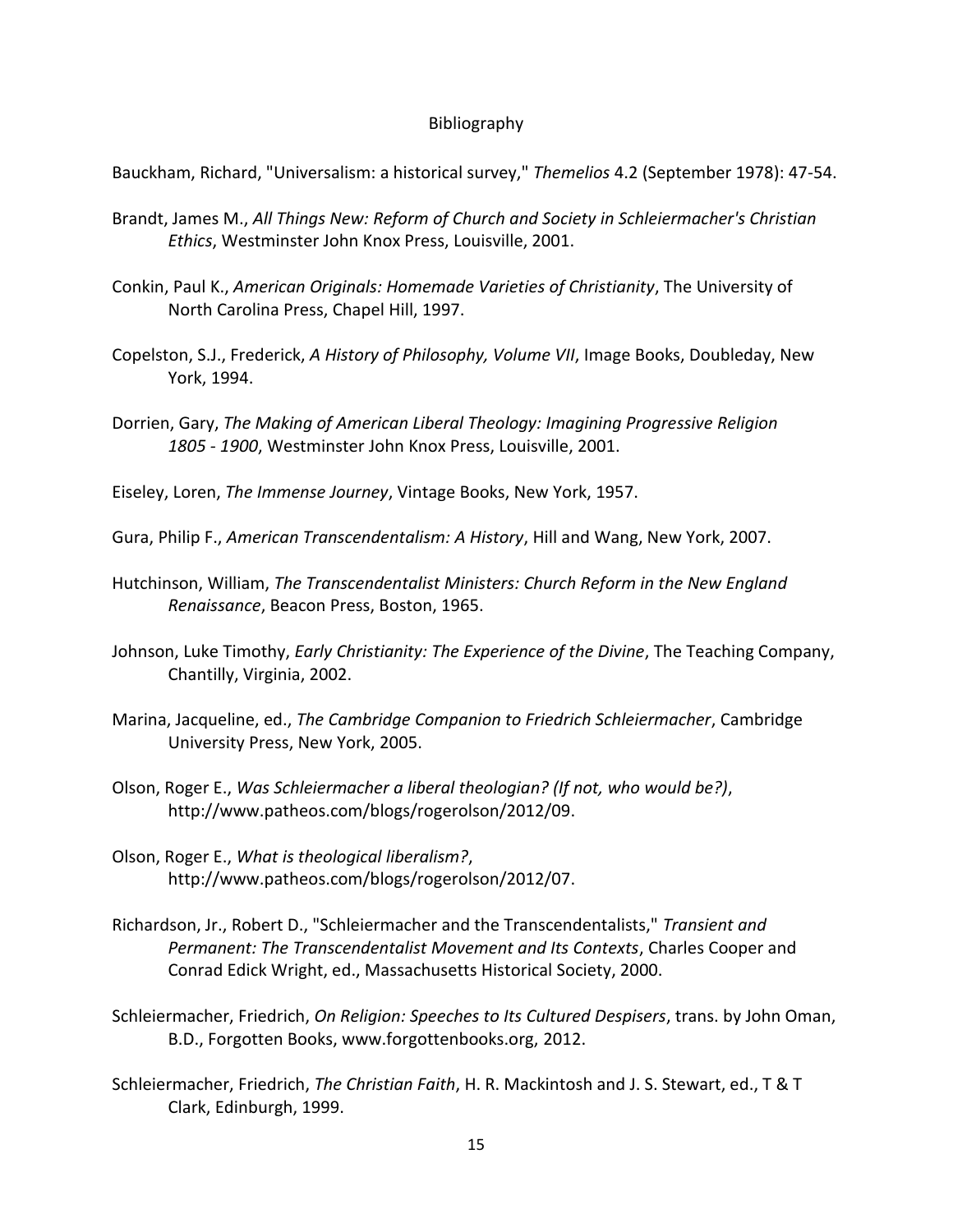## Bibliography

Bauckham, Richard, "Universalism: a historical survey," *Themelios* 4.2 (September 1978): 47-54.

- Brandt, James M., *All Things New: Reform of Church and Society in Schleiermacher's Christian Ethics*, Westminster John Knox Press, Louisville, 2001.
- Conkin, Paul K., *American Originals: Homemade Varieties of Christianity*, The University of North Carolina Press, Chapel Hill, 1997.
- Copelston, S.J., Frederick, *A History of Philosophy, Volume VII*, Image Books, Doubleday, New York, 1994.
- Dorrien, Gary, *The Making of American Liberal Theology: Imagining Progressive Religion 1805 - 1900*, Westminster John Knox Press, Louisville, 2001.

Eiseley, Loren, *The Immense Journey*, Vintage Books, New York, 1957.

- Gura, Philip F., *American Transcendentalism: A History*, Hill and Wang, New York, 2007.
- Hutchinson, William, *The Transcendentalist Ministers: Church Reform in the New England Renaissance*, Beacon Press, Boston, 1965.
- Johnson, Luke Timothy, *Early Christianity: The Experience of the Divine*, The Teaching Company, Chantilly, Virginia, 2002.
- Marina, Jacqueline, ed., *The Cambridge Companion to Friedrich Schleiermacher*, Cambridge University Press, New York, 2005.
- Olson, Roger E., *Was Schleiermacher a liberal theologian? (If not, who would be?)*, http://www.patheos.com/blogs/rogerolson/2012/09.
- Olson, Roger E., *What is theological liberalism?*, http://www.patheos.com/blogs/rogerolson/2012/07.
- Richardson, Jr., Robert D., "Schleiermacher and the Transcendentalists," *Transient and Permanent: The Transcendentalist Movement and Its Contexts*, Charles Cooper and Conrad Edick Wright, ed., Massachusetts Historical Society, 2000.
- Schleiermacher, Friedrich, *On Religion: Speeches to Its Cultured Despisers*, trans. by John Oman, B.D., Forgotten Books, www.forgottenbooks.org, 2012.
- Schleiermacher, Friedrich, *The Christian Faith*, H. R. Mackintosh and J. S. Stewart, ed., T & T Clark, Edinburgh, 1999.